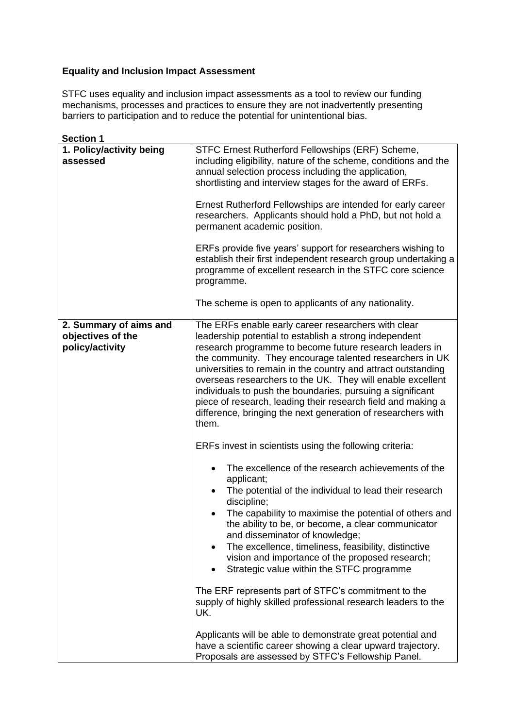## **Equality and Inclusion Impact Assessment**

STFC uses equality and inclusion impact assessments as a tool to review our funding mechanisms, processes and practices to ensure they are not inadvertently presenting barriers to participation and to reduce the potential for unintentional bias.

**Section 1 1. Policy/activity being assessed**  STFC Ernest Rutherford Fellowships (ERF) Scheme, including eligibility, nature of the scheme, conditions and the annual selection process including the application, shortlisting and interview stages for the award of ERFs. Ernest Rutherford Fellowships are intended for early career researchers. Applicants should hold a PhD, but not hold a permanent academic position. ERFs provide five years' support for researchers wishing to establish their first independent research group undertaking a programme of excellent research in the STFC core science programme. The scheme is open to applicants of any nationality. **2. Summary of aims and objectives of the policy/activity**  The ERFs enable early career researchers with clear leadership potential to establish a strong independent research programme to become future research leaders in the community. They encourage talented researchers in UK universities to remain in the country and attract outstanding overseas researchers to the UK. They will enable excellent individuals to push the boundaries, pursuing a significant piece of research, leading their research field and making a difference, bringing the next generation of researchers with them. ERFs invest in scientists using the following criteria: • The excellence of the research achievements of the applicant; • The potential of the individual to lead their research discipline; • The capability to maximise the potential of others and the ability to be, or become, a clear communicator and disseminator of knowledge; The excellence, timeliness, feasibility, distinctive vision and importance of the proposed research; • Strategic value within the STFC programme The ERF represents part of STFC's commitment to the supply of highly skilled professional research leaders to the UK. Applicants will be able to demonstrate great potential and have a scientific career showing a clear upward trajectory. Proposals are assessed by STFC's Fellowship Panel.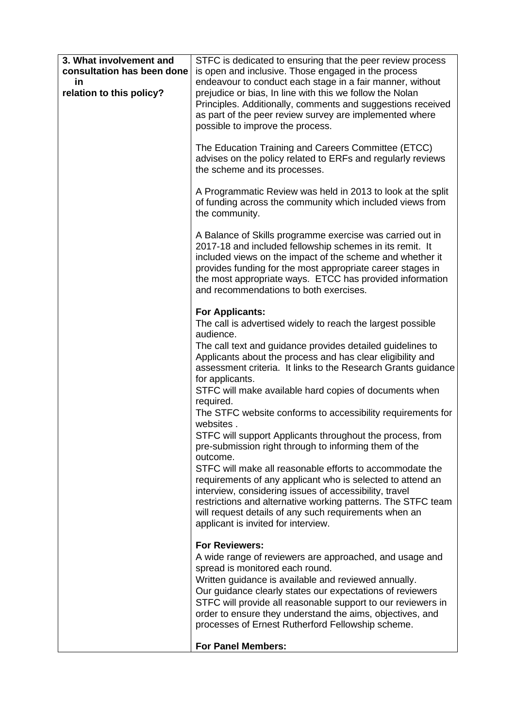| 3. What involvement and<br>consultation has been done<br>in<br>relation to this policy? | STFC is dedicated to ensuring that the peer review process<br>is open and inclusive. Those engaged in the process<br>endeavour to conduct each stage in a fair manner, without<br>prejudice or bias, In line with this we follow the Nolan<br>Principles. Additionally, comments and suggestions received<br>as part of the peer review survey are implemented where<br>possible to improve the process.<br>The Education Training and Careers Committee (ETCC)<br>advises on the policy related to ERFs and regularly reviews<br>the scheme and its processes.                                                                                                                                                                                                                                                                                                                                                                                             |
|-----------------------------------------------------------------------------------------|-------------------------------------------------------------------------------------------------------------------------------------------------------------------------------------------------------------------------------------------------------------------------------------------------------------------------------------------------------------------------------------------------------------------------------------------------------------------------------------------------------------------------------------------------------------------------------------------------------------------------------------------------------------------------------------------------------------------------------------------------------------------------------------------------------------------------------------------------------------------------------------------------------------------------------------------------------------|
|                                                                                         | A Programmatic Review was held in 2013 to look at the split<br>of funding across the community which included views from<br>the community.                                                                                                                                                                                                                                                                                                                                                                                                                                                                                                                                                                                                                                                                                                                                                                                                                  |
|                                                                                         | A Balance of Skills programme exercise was carried out in<br>2017-18 and included fellowship schemes in its remit. It<br>included views on the impact of the scheme and whether it<br>provides funding for the most appropriate career stages in<br>the most appropriate ways. ETCC has provided information<br>and recommendations to both exercises.                                                                                                                                                                                                                                                                                                                                                                                                                                                                                                                                                                                                      |
|                                                                                         | <b>For Applicants:</b><br>The call is advertised widely to reach the largest possible<br>audience.<br>The call text and guidance provides detailed guidelines to<br>Applicants about the process and has clear eligibility and<br>assessment criteria. It links to the Research Grants guidance<br>for applicants.<br>STFC will make available hard copies of documents when<br>required.<br>The STFC website conforms to accessibility requirements for<br>websites.<br>STFC will support Applicants throughout the process, from<br>pre-submission right through to informing them of the<br>outcome.<br>STFC will make all reasonable efforts to accommodate the<br>requirements of any applicant who is selected to attend an<br>interview, considering issues of accessibility, travel<br>restrictions and alternative working patterns. The STFC team<br>will request details of any such requirements when an<br>applicant is invited for interview. |
|                                                                                         | <b>For Reviewers:</b><br>A wide range of reviewers are approached, and usage and<br>spread is monitored each round.<br>Written guidance is available and reviewed annually.<br>Our guidance clearly states our expectations of reviewers<br>STFC will provide all reasonable support to our reviewers in<br>order to ensure they understand the aims, objectives, and<br>processes of Ernest Rutherford Fellowship scheme.                                                                                                                                                                                                                                                                                                                                                                                                                                                                                                                                  |
|                                                                                         | <b>For Panel Members:</b>                                                                                                                                                                                                                                                                                                                                                                                                                                                                                                                                                                                                                                                                                                                                                                                                                                                                                                                                   |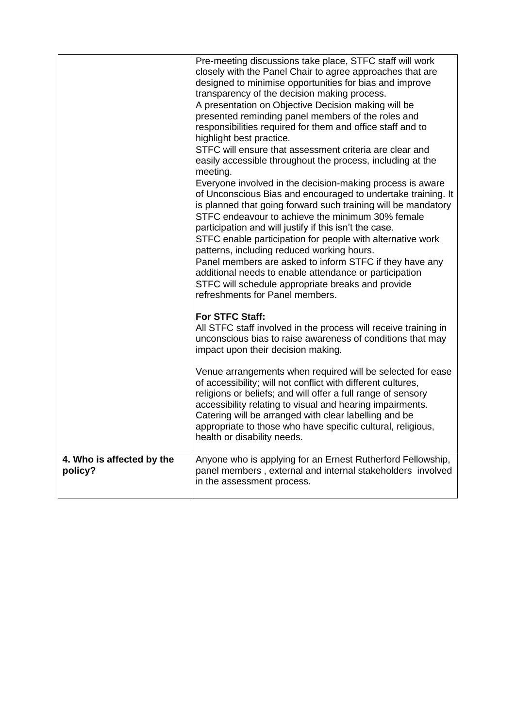|                                      | Pre-meeting discussions take place, STFC staff will work<br>closely with the Panel Chair to agree approaches that are<br>designed to minimise opportunities for bias and improve<br>transparency of the decision making process.<br>A presentation on Objective Decision making will be<br>presented reminding panel members of the roles and<br>responsibilities required for them and office staff and to<br>highlight best practice.<br>STFC will ensure that assessment criteria are clear and<br>easily accessible throughout the process, including at the<br>meeting.<br>Everyone involved in the decision-making process is aware<br>of Unconscious Bias and encouraged to undertake training. It<br>is planned that going forward such training will be mandatory<br>STFC endeavour to achieve the minimum 30% female<br>participation and will justify if this isn't the case.<br>STFC enable participation for people with alternative work<br>patterns, including reduced working hours.<br>Panel members are asked to inform STFC if they have any<br>additional needs to enable attendance or participation<br>STFC will schedule appropriate breaks and provide<br>refreshments for Panel members. |
|--------------------------------------|-------------------------------------------------------------------------------------------------------------------------------------------------------------------------------------------------------------------------------------------------------------------------------------------------------------------------------------------------------------------------------------------------------------------------------------------------------------------------------------------------------------------------------------------------------------------------------------------------------------------------------------------------------------------------------------------------------------------------------------------------------------------------------------------------------------------------------------------------------------------------------------------------------------------------------------------------------------------------------------------------------------------------------------------------------------------------------------------------------------------------------------------------------------------------------------------------------------------|
|                                      | For STFC Staff:<br>All STFC staff involved in the process will receive training in<br>unconscious bias to raise awareness of conditions that may<br>impact upon their decision making.                                                                                                                                                                                                                                                                                                                                                                                                                                                                                                                                                                                                                                                                                                                                                                                                                                                                                                                                                                                                                            |
|                                      | Venue arrangements when required will be selected for ease<br>of accessibility; will not conflict with different cultures,<br>religions or beliefs; and will offer a full range of sensory<br>accessibility relating to visual and hearing impairments.<br>Catering will be arranged with clear labelling and be<br>appropriate to those who have specific cultural, religious,<br>health or disability needs.                                                                                                                                                                                                                                                                                                                                                                                                                                                                                                                                                                                                                                                                                                                                                                                                    |
| 4. Who is affected by the<br>policy? | Anyone who is applying for an Ernest Rutherford Fellowship,<br>panel members, external and internal stakeholders involved<br>in the assessment process.                                                                                                                                                                                                                                                                                                                                                                                                                                                                                                                                                                                                                                                                                                                                                                                                                                                                                                                                                                                                                                                           |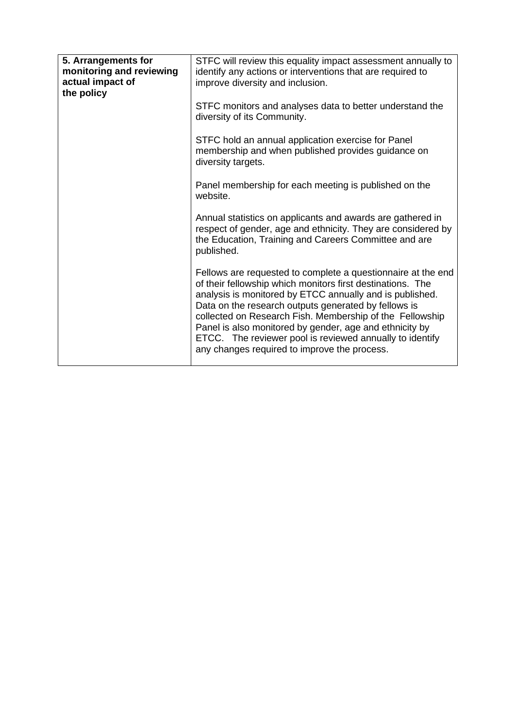| STFC will review this equality impact assessment annually to<br>identify any actions or interventions that are required to<br>improve diversity and inclusion.                                                                                                                                                                                                                                                                                                                    |  |
|-----------------------------------------------------------------------------------------------------------------------------------------------------------------------------------------------------------------------------------------------------------------------------------------------------------------------------------------------------------------------------------------------------------------------------------------------------------------------------------|--|
| STFC monitors and analyses data to better understand the<br>diversity of its Community.                                                                                                                                                                                                                                                                                                                                                                                           |  |
| STFC hold an annual application exercise for Panel<br>membership and when published provides guidance on<br>diversity targets.                                                                                                                                                                                                                                                                                                                                                    |  |
| Panel membership for each meeting is published on the<br>website.                                                                                                                                                                                                                                                                                                                                                                                                                 |  |
| Annual statistics on applicants and awards are gathered in<br>respect of gender, age and ethnicity. They are considered by<br>the Education, Training and Careers Committee and are<br>published.                                                                                                                                                                                                                                                                                 |  |
| Fellows are requested to complete a questionnaire at the end<br>of their fellowship which monitors first destinations. The<br>analysis is monitored by ETCC annually and is published.<br>Data on the research outputs generated by fellows is<br>collected on Research Fish. Membership of the Fellowship<br>Panel is also monitored by gender, age and ethnicity by<br>ETCC. The reviewer pool is reviewed annually to identify<br>any changes required to improve the process. |  |
|                                                                                                                                                                                                                                                                                                                                                                                                                                                                                   |  |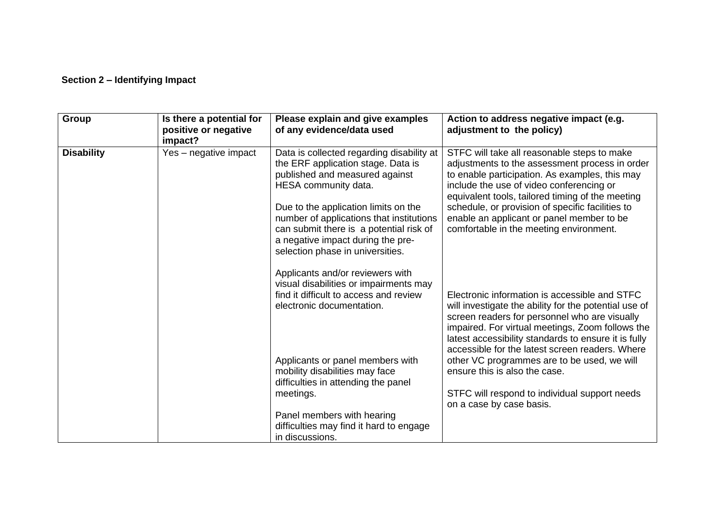## **Section 2 – Identifying Impact**

| Group             | Is there a potential for<br>positive or negative<br>impact? | Please explain and give examples<br>of any evidence/data used                                                                                                                                                                                                                                                                                     | Action to address negative impact (e.g.<br>adjustment to the policy)                                                                                                                                                                                                                                                                                                                                                                                                                |
|-------------------|-------------------------------------------------------------|---------------------------------------------------------------------------------------------------------------------------------------------------------------------------------------------------------------------------------------------------------------------------------------------------------------------------------------------------|-------------------------------------------------------------------------------------------------------------------------------------------------------------------------------------------------------------------------------------------------------------------------------------------------------------------------------------------------------------------------------------------------------------------------------------------------------------------------------------|
| <b>Disability</b> | Yes - negative impact                                       | Data is collected regarding disability at<br>the ERF application stage. Data is<br>published and measured against<br>HESA community data.<br>Due to the application limits on the<br>number of applications that institutions<br>can submit there is a potential risk of<br>a negative impact during the pre-<br>selection phase in universities. | STFC will take all reasonable steps to make<br>adjustments to the assessment process in order<br>to enable participation. As examples, this may<br>include the use of video conferencing or<br>equivalent tools, tailored timing of the meeting<br>schedule, or provision of specific facilities to<br>enable an applicant or panel member to be<br>comfortable in the meeting environment.                                                                                         |
|                   |                                                             | Applicants and/or reviewers with<br>visual disabilities or impairments may<br>find it difficult to access and review<br>electronic documentation.<br>Applicants or panel members with<br>mobility disabilities may face<br>difficulties in attending the panel<br>meetings.                                                                       | Electronic information is accessible and STFC<br>will investigate the ability for the potential use of<br>screen readers for personnel who are visually<br>impaired. For virtual meetings, Zoom follows the<br>latest accessibility standards to ensure it is fully<br>accessible for the latest screen readers. Where<br>other VC programmes are to be used, we will<br>ensure this is also the case.<br>STFC will respond to individual support needs<br>on a case by case basis. |
|                   |                                                             | Panel members with hearing<br>difficulties may find it hard to engage<br>in discussions.                                                                                                                                                                                                                                                          |                                                                                                                                                                                                                                                                                                                                                                                                                                                                                     |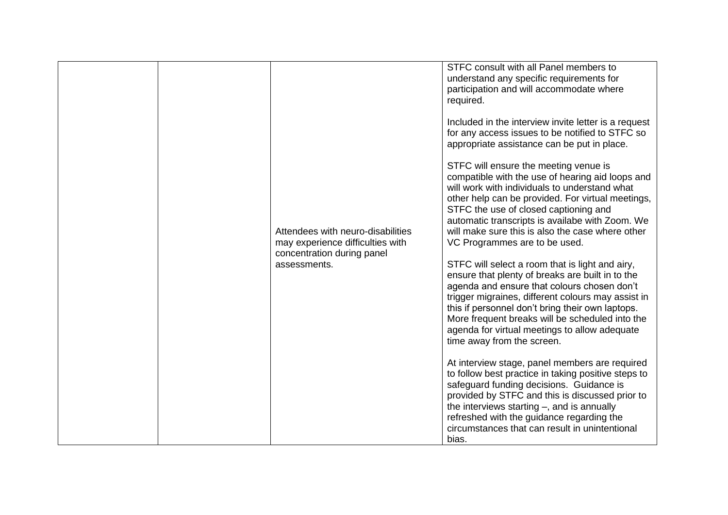|  |                                   | STFC consult with all Panel members to               |
|--|-----------------------------------|------------------------------------------------------|
|  |                                   | understand any specific requirements for             |
|  |                                   | participation and will accommodate where             |
|  |                                   |                                                      |
|  |                                   | required.                                            |
|  |                                   |                                                      |
|  |                                   | Included in the interview invite letter is a request |
|  |                                   | for any access issues to be notified to STFC so      |
|  |                                   |                                                      |
|  |                                   | appropriate assistance can be put in place.          |
|  |                                   |                                                      |
|  |                                   | STFC will ensure the meeting venue is                |
|  |                                   | compatible with the use of hearing aid loops and     |
|  |                                   | will work with individuals to understand what        |
|  |                                   |                                                      |
|  |                                   | other help can be provided. For virtual meetings,    |
|  |                                   | STFC the use of closed captioning and                |
|  |                                   | automatic transcripts is availabe with Zoom. We      |
|  | Attendees with neuro-disabilities | will make sure this is also the case where other     |
|  |                                   |                                                      |
|  | may experience difficulties with  | VC Programmes are to be used.                        |
|  | concentration during panel        |                                                      |
|  | assessments.                      | STFC will select a room that is light and airy,      |
|  |                                   | ensure that plenty of breaks are built in to the     |
|  |                                   | agenda and ensure that colours chosen don't          |
|  |                                   |                                                      |
|  |                                   | trigger migraines, different colours may assist in   |
|  |                                   | this if personnel don't bring their own laptops.     |
|  |                                   | More frequent breaks will be scheduled into the      |
|  |                                   | agenda for virtual meetings to allow adequate        |
|  |                                   |                                                      |
|  |                                   | time away from the screen.                           |
|  |                                   |                                                      |
|  |                                   | At interview stage, panel members are required       |
|  |                                   | to follow best practice in taking positive steps to  |
|  |                                   |                                                      |
|  |                                   | safeguard funding decisions. Guidance is             |
|  |                                   | provided by STFC and this is discussed prior to      |
|  |                                   | the interviews starting $-$ , and is annually        |
|  |                                   | refreshed with the guidance regarding the            |
|  |                                   |                                                      |
|  |                                   | circumstances that can result in unintentional       |
|  |                                   | bias.                                                |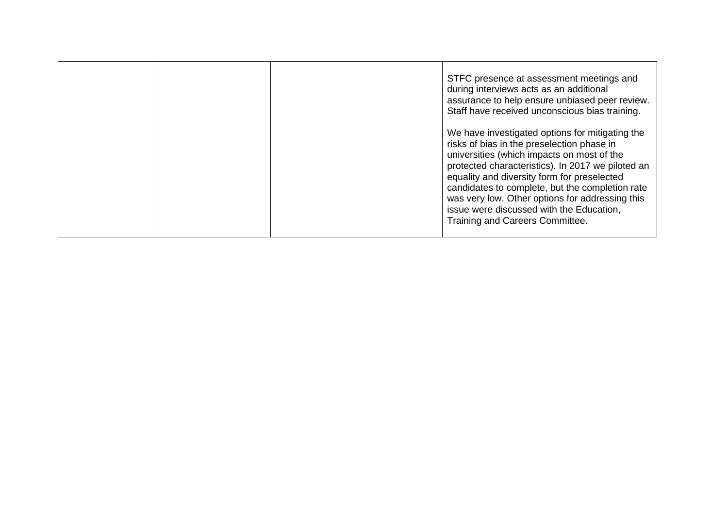|  | STFC presence at assessment meetings and<br>during interviews acts as an additional<br>assurance to help ensure unbiased peer review.<br>Staff have received unconscious bias training.                                                                                                                                                                                                                                              |
|--|--------------------------------------------------------------------------------------------------------------------------------------------------------------------------------------------------------------------------------------------------------------------------------------------------------------------------------------------------------------------------------------------------------------------------------------|
|  | We have investigated options for mitigating the<br>risks of bias in the preselection phase in<br>universities (which impacts on most of the<br>protected characteristics). In 2017 we piloted an<br>equality and diversity form for preselected<br>candidates to complete, but the completion rate<br>was very low. Other options for addressing this<br>issue were discussed with the Education,<br>Training and Careers Committee. |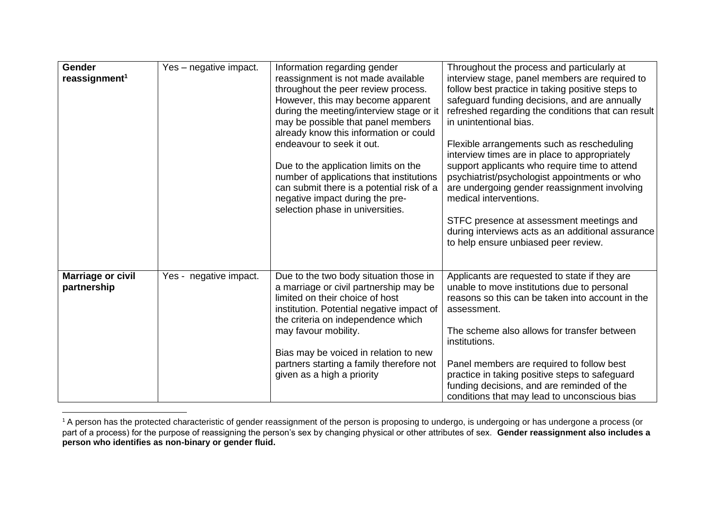| <b>Gender</b><br>reassignment <sup>1</sup> | Yes - negative impact. | Information regarding gender<br>reassignment is not made available<br>throughout the peer review process.<br>However, this may become apparent<br>during the meeting/interview stage or it<br>may be possible that panel members<br>already know this information or could<br>endeavour to seek it out.<br>Due to the application limits on the<br>number of applications that institutions<br>can submit there is a potential risk of a<br>negative impact during the pre-<br>selection phase in universities. | Throughout the process and particularly at<br>interview stage, panel members are required to<br>follow best practice in taking positive steps to<br>safeguard funding decisions, and are annually<br>refreshed regarding the conditions that can result<br>in unintentional bias.<br>Flexible arrangements such as rescheduling<br>interview times are in place to appropriately<br>support applicants who require time to attend<br>psychiatrist/psychologist appointments or who<br>are undergoing gender reassignment involving<br>medical interventions.<br>STFC presence at assessment meetings and<br>during interviews acts as an additional assurance<br>to help ensure unbiased peer review. |
|--------------------------------------------|------------------------|-----------------------------------------------------------------------------------------------------------------------------------------------------------------------------------------------------------------------------------------------------------------------------------------------------------------------------------------------------------------------------------------------------------------------------------------------------------------------------------------------------------------|-------------------------------------------------------------------------------------------------------------------------------------------------------------------------------------------------------------------------------------------------------------------------------------------------------------------------------------------------------------------------------------------------------------------------------------------------------------------------------------------------------------------------------------------------------------------------------------------------------------------------------------------------------------------------------------------------------|
| <b>Marriage or civil</b><br>partnership    | Yes - negative impact. | Due to the two body situation those in<br>a marriage or civil partnership may be<br>limited on their choice of host<br>institution. Potential negative impact of<br>the criteria on independence which<br>may favour mobility.<br>Bias may be voiced in relation to new<br>partners starting a family therefore not<br>given as a high a priority                                                                                                                                                               | Applicants are requested to state if they are<br>unable to move institutions due to personal<br>reasons so this can be taken into account in the<br>assessment.<br>The scheme also allows for transfer between<br>institutions.<br>Panel members are required to follow best<br>practice in taking positive steps to safeguard<br>funding decisions, and are reminded of the<br>conditions that may lead to unconscious bias                                                                                                                                                                                                                                                                          |

 $^{\rm 1}$  A person has the protected characteristic of gender reassignment of the person is proposing to undergo, is undergoing or has undergone a process (or part of a process) for the purpose of reassigning the person's sex by changing physical or other attributes of sex. **Gender reassignment also includes a person who identifies as non-binary or gender fluid.**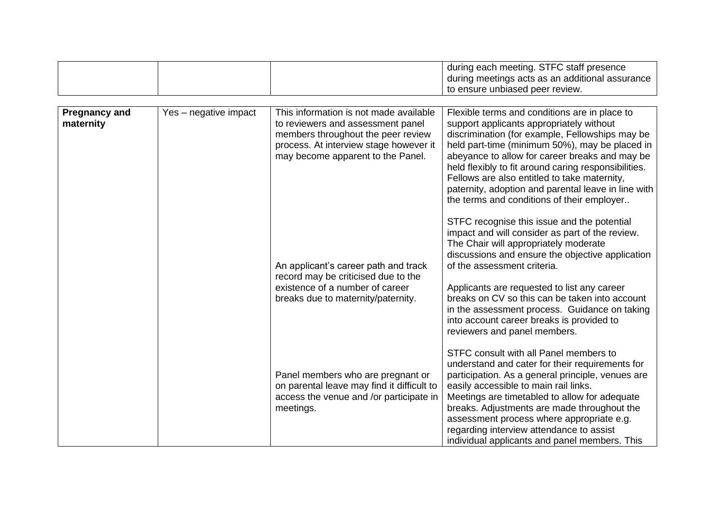|                                   |                       |                                                                                                                                                                                                  | during each meeting. STFC staff presence<br>during meetings acts as an additional assurance<br>to ensure unbiased peer review.                                                                                                                                                                                                                                                                                                                                |
|-----------------------------------|-----------------------|--------------------------------------------------------------------------------------------------------------------------------------------------------------------------------------------------|---------------------------------------------------------------------------------------------------------------------------------------------------------------------------------------------------------------------------------------------------------------------------------------------------------------------------------------------------------------------------------------------------------------------------------------------------------------|
|                                   |                       |                                                                                                                                                                                                  |                                                                                                                                                                                                                                                                                                                                                                                                                                                               |
| <b>Pregnancy and</b><br>maternity | Yes - negative impact | This information is not made available<br>to reviewers and assessment panel<br>members throughout the peer review<br>process. At interview stage however it<br>may become apparent to the Panel. | Flexible terms and conditions are in place to<br>support applicants appropriately without<br>discrimination (for example, Fellowships may be<br>held part-time (minimum 50%), may be placed in<br>abeyance to allow for career breaks and may be<br>held flexibly to fit around caring responsibilities.<br>Fellows are also entitled to take maternity,<br>paternity, adoption and parental leave in line with<br>the terms and conditions of their employer |
|                                   |                       | An applicant's career path and track<br>record may be criticised due to the<br>existence of a number of career<br>breaks due to maternity/paternity.                                             | STFC recognise this issue and the potential<br>impact and will consider as part of the review.<br>The Chair will appropriately moderate<br>discussions and ensure the objective application<br>of the assessment criteria.<br>Applicants are requested to list any career<br>breaks on CV so this can be taken into account<br>in the assessment process. Guidance on taking<br>into account career breaks is provided to<br>reviewers and panel members.     |
|                                   |                       | Panel members who are pregnant or<br>on parental leave may find it difficult to<br>access the venue and /or participate in<br>meetings.                                                          | STFC consult with all Panel members to<br>understand and cater for their requirements for<br>participation. As a general principle, venues are<br>easily accessible to main rail links.<br>Meetings are timetabled to allow for adequate<br>breaks. Adjustments are made throughout the<br>assessment process where appropriate e.g.<br>regarding interview attendance to assist<br>individual applicants and panel members. This                             |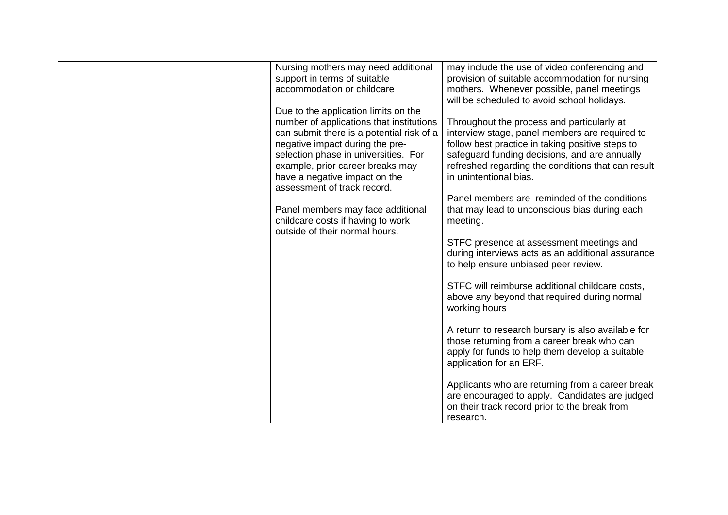| Nursing mothers may need additional<br>support in terms of suitable<br>accommodation or childcare                                                                                                                                                                                                            | may include the use of video conferencing and<br>provision of suitable accommodation for nursing<br>mothers. Whenever possible, panel meetings<br>will be scheduled to avoid school holidays.                                                                                     |
|--------------------------------------------------------------------------------------------------------------------------------------------------------------------------------------------------------------------------------------------------------------------------------------------------------------|-----------------------------------------------------------------------------------------------------------------------------------------------------------------------------------------------------------------------------------------------------------------------------------|
| Due to the application limits on the<br>number of applications that institutions<br>can submit there is a potential risk of a<br>negative impact during the pre-<br>selection phase in universities. For<br>example, prior career breaks may<br>have a negative impact on the<br>assessment of track record. | Throughout the process and particularly at<br>interview stage, panel members are required to<br>follow best practice in taking positive steps to<br>safeguard funding decisions, and are annually<br>refreshed regarding the conditions that can result<br>in unintentional bias. |
| Panel members may face additional<br>childcare costs if having to work<br>outside of their normal hours.                                                                                                                                                                                                     | Panel members are reminded of the conditions<br>that may lead to unconscious bias during each<br>meeting.                                                                                                                                                                         |
|                                                                                                                                                                                                                                                                                                              | STFC presence at assessment meetings and<br>during interviews acts as an additional assurance<br>to help ensure unbiased peer review.                                                                                                                                             |
|                                                                                                                                                                                                                                                                                                              | STFC will reimburse additional childcare costs,<br>above any beyond that required during normal<br>working hours                                                                                                                                                                  |
|                                                                                                                                                                                                                                                                                                              | A return to research bursary is also available for<br>those returning from a career break who can<br>apply for funds to help them develop a suitable<br>application for an ERF.                                                                                                   |
|                                                                                                                                                                                                                                                                                                              | Applicants who are returning from a career break<br>are encouraged to apply. Candidates are judged<br>on their track record prior to the break from<br>research.                                                                                                                  |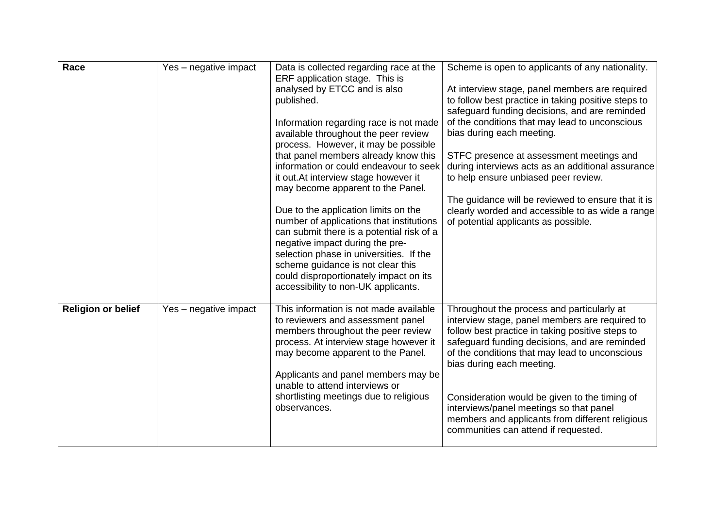| Race                      | Yes - negative impact | Data is collected regarding race at the                                          | Scheme is open to applicants of any nationality.                                                      |
|---------------------------|-----------------------|----------------------------------------------------------------------------------|-------------------------------------------------------------------------------------------------------|
|                           |                       | ERF application stage. This is                                                   |                                                                                                       |
|                           |                       | analysed by ETCC and is also<br>published.                                       | At interview stage, panel members are required<br>to follow best practice in taking positive steps to |
|                           |                       |                                                                                  | safeguard funding decisions, and are reminded                                                         |
|                           |                       | Information regarding race is not made                                           | of the conditions that may lead to unconscious                                                        |
|                           |                       | available throughout the peer review                                             | bias during each meeting.                                                                             |
|                           |                       | process. However, it may be possible                                             |                                                                                                       |
|                           |                       | that panel members already know this                                             | STFC presence at assessment meetings and                                                              |
|                           |                       | information or could endeavour to seek                                           | during interviews acts as an additional assurance                                                     |
|                           |                       | it out. At interview stage however it                                            | to help ensure unbiased peer review.                                                                  |
|                           |                       | may become apparent to the Panel.                                                |                                                                                                       |
|                           |                       |                                                                                  | The guidance will be reviewed to ensure that it is                                                    |
|                           |                       | Due to the application limits on the<br>number of applications that institutions | clearly worded and accessible to as wide a range<br>of potential applicants as possible.              |
|                           |                       | can submit there is a potential risk of a                                        |                                                                                                       |
|                           |                       | negative impact during the pre-                                                  |                                                                                                       |
|                           |                       | selection phase in universities. If the                                          |                                                                                                       |
|                           |                       | scheme guidance is not clear this                                                |                                                                                                       |
|                           |                       | could disproportionately impact on its                                           |                                                                                                       |
|                           |                       | accessibility to non-UK applicants.                                              |                                                                                                       |
| <b>Religion or belief</b> | Yes – negative impact | This information is not made available                                           | Throughout the process and particularly at                                                            |
|                           |                       | to reviewers and assessment panel                                                | interview stage, panel members are required to                                                        |
|                           |                       | members throughout the peer review                                               | follow best practice in taking positive steps to                                                      |
|                           |                       | process. At interview stage however it                                           | safeguard funding decisions, and are reminded                                                         |
|                           |                       | may become apparent to the Panel.                                                | of the conditions that may lead to unconscious                                                        |
|                           |                       |                                                                                  | bias during each meeting.                                                                             |
|                           |                       | Applicants and panel members may be<br>unable to attend interviews or            |                                                                                                       |
|                           |                       | shortlisting meetings due to religious                                           | Consideration would be given to the timing of                                                         |
|                           |                       | observances.                                                                     | interviews/panel meetings so that panel                                                               |
|                           |                       |                                                                                  | members and applicants from different religious                                                       |
|                           |                       |                                                                                  | communities can attend if requested.                                                                  |
|                           |                       |                                                                                  |                                                                                                       |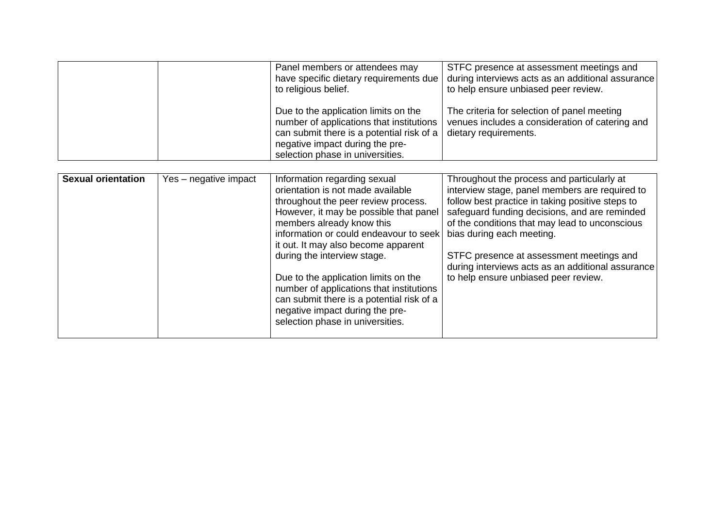| Panel members or attendees may<br>have specific dietary requirements due<br>to religious belief.                                                                                                         | STFC presence at assessment meetings and<br>during interviews acts as an additional assurance<br>to help ensure unbiased peer review. |
|----------------------------------------------------------------------------------------------------------------------------------------------------------------------------------------------------------|---------------------------------------------------------------------------------------------------------------------------------------|
| Due to the application limits on the<br>number of applications that institutions<br>can submit there is a potential risk of a $ $<br>negative impact during the pre-<br>selection phase in universities. | The criteria for selection of panel meeting<br>venues includes a consideration of catering and<br>dietary requirements.               |

| <b>Sexual orientation</b> | Yes - negative impact | Information regarding sexual<br>orientation is not made available<br>throughout the peer review process.<br>However, it may be possible that panel<br>members already know this<br>information or could endeavour to seek<br>it out. It may also become apparent | Throughout the process and particularly at<br>interview stage, panel members are required to<br>follow best practice in taking positive steps to<br>safeguard funding decisions, and are reminded<br>of the conditions that may lead to unconscious<br>bias during each meeting. |
|---------------------------|-----------------------|------------------------------------------------------------------------------------------------------------------------------------------------------------------------------------------------------------------------------------------------------------------|----------------------------------------------------------------------------------------------------------------------------------------------------------------------------------------------------------------------------------------------------------------------------------|
|                           |                       | during the interview stage.<br>Due to the application limits on the<br>number of applications that institutions<br>can submit there is a potential risk of a<br>negative impact during the pre-                                                                  | STFC presence at assessment meetings and<br>during interviews acts as an additional assurance<br>to help ensure unbiased peer review.                                                                                                                                            |
|                           |                       | selection phase in universities.                                                                                                                                                                                                                                 |                                                                                                                                                                                                                                                                                  |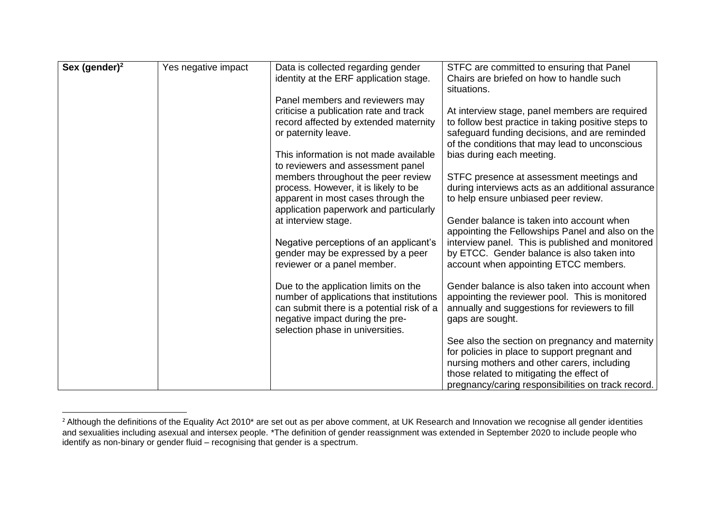| Sex (gender) <sup>2</sup> | Yes negative impact | Data is collected regarding gender<br>identity at the ERF application stage. | STFC are committed to ensuring that Panel<br>Chairs are briefed on how to handle such<br>situations. |
|---------------------------|---------------------|------------------------------------------------------------------------------|------------------------------------------------------------------------------------------------------|
|                           |                     | Panel members and reviewers may                                              |                                                                                                      |
|                           |                     |                                                                              |                                                                                                      |
|                           |                     | criticise a publication rate and track                                       | At interview stage, panel members are required                                                       |
|                           |                     | record affected by extended maternity                                        | to follow best practice in taking positive steps to                                                  |
|                           |                     | or paternity leave.                                                          | safeguard funding decisions, and are reminded                                                        |
|                           |                     |                                                                              | of the conditions that may lead to unconscious                                                       |
|                           |                     | This information is not made available                                       | bias during each meeting.                                                                            |
|                           |                     | to reviewers and assessment panel                                            |                                                                                                      |
|                           |                     | members throughout the peer review                                           | STFC presence at assessment meetings and                                                             |
|                           |                     | process. However, it is likely to be                                         | during interviews acts as an additional assurance                                                    |
|                           |                     | apparent in most cases through the                                           | to help ensure unbiased peer review.                                                                 |
|                           |                     | application paperwork and particularly                                       |                                                                                                      |
|                           |                     | at interview stage.                                                          | Gender balance is taken into account when                                                            |
|                           |                     |                                                                              | appointing the Fellowships Panel and also on the                                                     |
|                           |                     | Negative perceptions of an applicant's                                       | interview panel. This is published and monitored                                                     |
|                           |                     | gender may be expressed by a peer                                            | by ETCC. Gender balance is also taken into                                                           |
|                           |                     | reviewer or a panel member.                                                  | account when appointing ETCC members.                                                                |
|                           |                     | Due to the application limits on the                                         | Gender balance is also taken into account when                                                       |
|                           |                     | number of applications that institutions                                     | appointing the reviewer pool. This is monitored                                                      |
|                           |                     | can submit there is a potential risk of a                                    | annually and suggestions for reviewers to fill                                                       |
|                           |                     | negative impact during the pre-                                              | gaps are sought.                                                                                     |
|                           |                     | selection phase in universities.                                             |                                                                                                      |
|                           |                     |                                                                              | See also the section on pregnancy and maternity                                                      |
|                           |                     |                                                                              | for policies in place to support pregnant and                                                        |
|                           |                     |                                                                              | nursing mothers and other carers, including                                                          |
|                           |                     |                                                                              | those related to mitigating the effect of                                                            |
|                           |                     |                                                                              | pregnancy/caring responsibilities on track record.                                                   |

<sup>&</sup>lt;sup>2</sup> Although the definitions of the Equality Act 2010\* are set out as per above comment, at UK Research and Innovation we recognise all gender identities and sexualities including asexual and intersex people. \*The definition of gender reassignment was extended in September 2020 to include people who identify as non-binary or gender fluid – recognising that gender is a spectrum.